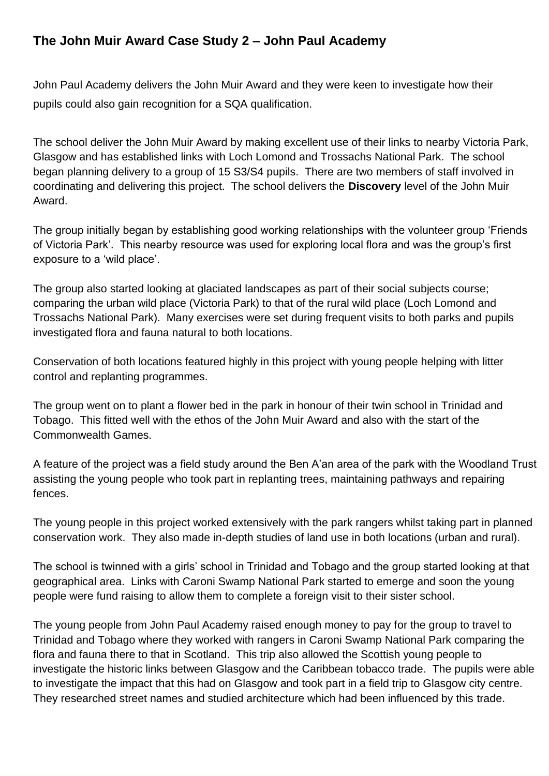# **The John Muir Award Case Study 2 – John Paul Academy**

John Paul Academy delivers the John Muir Award and they were keen to investigate how their pupils could also gain recognition for a SQA qualification.

The school deliver the John Muir Award by making excellent use of their links to nearby Victoria Park, Glasgow and has established links with Loch Lomond and Trossachs National Park. The school began planning delivery to a group of 15 S3/S4 pupils. There are two members of staff involved in coordinating and delivering this project. The school delivers the **Discovery** level of the John Muir Award.

The group initially began by establishing good working relationships with the volunteer group 'Friends of Victoria Park'. This nearby resource was used for exploring local flora and was the group's first exposure to a 'wild place'.

The group also started looking at glaciated landscapes as part of their social subjects course; comparing the urban wild place (Victoria Park) to that of the rural wild place (Loch Lomond and Trossachs National Park). Many exercises were set during frequent visits to both parks and pupils investigated flora and fauna natural to both locations.

Conservation of both locations featured highly in this project with young people helping with litter control and replanting programmes.

The group went on to plant a flower bed in the park in honour of their twin school in Trinidad and Tobago. This fitted well with the ethos of the John Muir Award and also with the start of the Commonwealth Games.

A feature of the project was a field study around the Ben A'an area of the park with the Woodland Trust assisting the young people who took part in replanting trees, maintaining pathways and repairing fences.

The young people in this project worked extensively with the park rangers whilst taking part in planned conservation work. They also made in-depth studies of land use in both locations (urban and rural).

The school is twinned with a girls' school in Trinidad and Tobago and the group started looking at that geographical area. Links with Caroni Swamp National Park started to emerge and soon the young people were fund raising to allow them to complete a foreign visit to their sister school.

The young people from John Paul Academy raised enough money to pay for the group to travel to Trinidad and Tobago where they worked with rangers in Caroni Swamp National Park comparing the flora and fauna there to that in Scotland. This trip also allowed the Scottish young people to investigate the historic links between Glasgow and the Caribbean tobacco trade. The pupils were able to investigate the impact that this had on Glasgow and took part in a field trip to Glasgow city centre. They researched street names and studied architecture which had been influenced by this trade.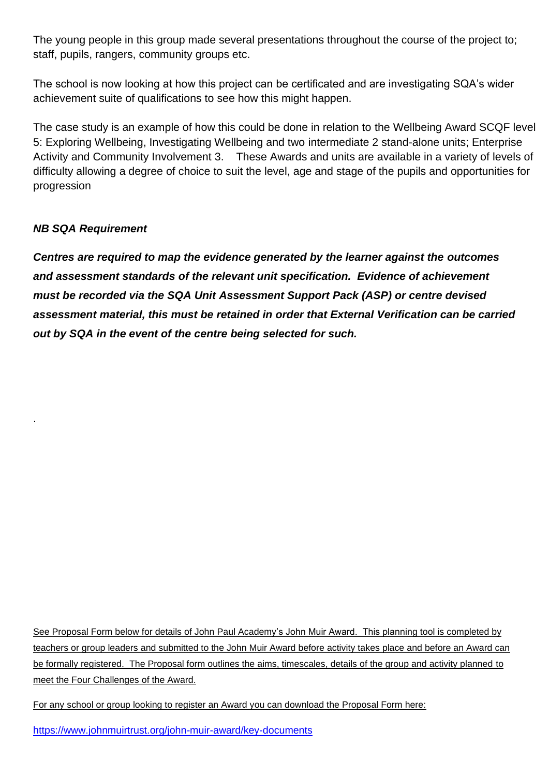The young people in this group made several presentations throughout the course of the project to; staff, pupils, rangers, community groups etc.

The school is now looking at how this project can be certificated and are investigating SQA's wider achievement suite of qualifications to see how this might happen.

The case study is an example of how this could be done in relation to the Wellbeing Award SCQF level 5: Exploring Wellbeing, Investigating Wellbeing and two intermediate 2 stand-alone units; Enterprise Activity and Community Involvement 3. These Awards and units are available in a variety of levels of difficulty allowing a degree of choice to suit the level, age and stage of the pupils and opportunities for progression

### *NB SQA Requirement*

.

*Centres are required to map the evidence generated by the learner against the outcomes and assessment standards of the relevant unit specification. Evidence of achievement must be recorded via the SQA Unit Assessment Support Pack (ASP) or centre devised assessment material, this must be retained in order that External Verification can be carried out by SQA in the event of the centre being selected for such.* 

See Proposal Form below for details of John Paul Academy's John Muir Award. This planning tool is completed by teachers or group leaders and submitted to the John Muir Award before activity takes place and before an Award can be formally registered. The Proposal form outlines the aims, timescales, details of the group and activity planned to meet the Four Challenges of the Award.

For any school or group looking to register an Award you can download the Proposal Form here:

<https://www.johnmuirtrust.org/john-muir-award/key-documents>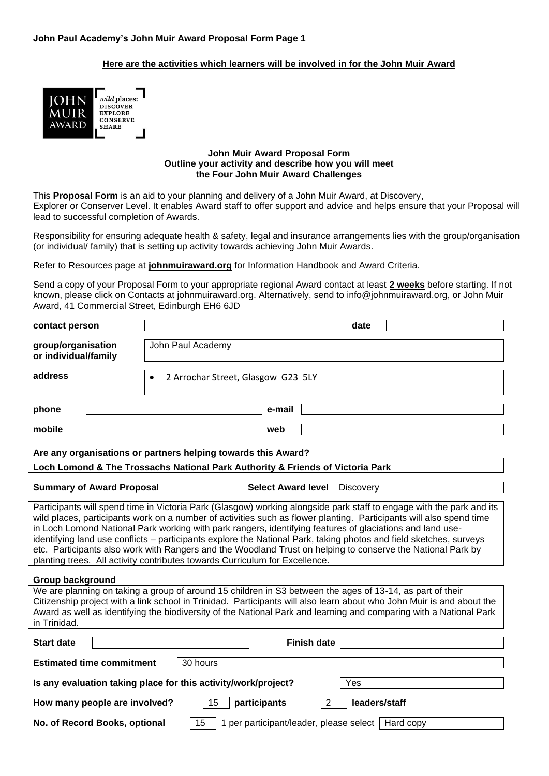### **Here are the activities which learners will be involved in for the John Muir Award**



#### **John Muir Award Proposal Form Outline your activity and describe how you will meet the Four John Muir Award Challenges**

This **Proposal Form** is an aid to your planning and delivery of a John Muir Award, at Discovery, Explorer or Conserver Level. It enables Award staff to offer support and advice and helps ensure that your Proposal will lead to successful completion of Awards.

Responsibility for ensuring adequate health & safety, legal and insurance arrangements lies with the group/organisation (or individual/ family) that is setting up activity towards achieving John Muir Awards.

Refer to Resources page at **[johnmuiraward.org](http://www.johnmuiraward.org/)** for Information Handbook and Award Criteria.

Send a copy of your Proposal Form to your appropriate regional Award contact at least **2 weeks** before starting. If not known, please click on Contacts at [johnmuiraward.org.](mailto:johnmuiraward.org) Alternatively, send to [info@johnmuiraward.org,](mailto:info@johnmuiraward.org) or John Muir Award, 41 Commercial Street, Edinburgh EH6 6JD

| contact person                                                                                                                                                                                                                                                                                                                                                                                                                                                                                                                                                                                                                                                               | date                                                                           |  |  |  |
|------------------------------------------------------------------------------------------------------------------------------------------------------------------------------------------------------------------------------------------------------------------------------------------------------------------------------------------------------------------------------------------------------------------------------------------------------------------------------------------------------------------------------------------------------------------------------------------------------------------------------------------------------------------------------|--------------------------------------------------------------------------------|--|--|--|
| group/organisation<br>or individual/family                                                                                                                                                                                                                                                                                                                                                                                                                                                                                                                                                                                                                                   | John Paul Academy                                                              |  |  |  |
| address                                                                                                                                                                                                                                                                                                                                                                                                                                                                                                                                                                                                                                                                      | 2 Arrochar Street, Glasgow G23 5LY                                             |  |  |  |
| phone                                                                                                                                                                                                                                                                                                                                                                                                                                                                                                                                                                                                                                                                        | e-mail                                                                         |  |  |  |
| mobile                                                                                                                                                                                                                                                                                                                                                                                                                                                                                                                                                                                                                                                                       | web                                                                            |  |  |  |
|                                                                                                                                                                                                                                                                                                                                                                                                                                                                                                                                                                                                                                                                              | Are any organisations or partners helping towards this Award?                  |  |  |  |
|                                                                                                                                                                                                                                                                                                                                                                                                                                                                                                                                                                                                                                                                              | Loch Lomond & The Trossachs National Park Authority & Friends of Victoria Park |  |  |  |
| <b>Summary of Award Proposal</b>                                                                                                                                                                                                                                                                                                                                                                                                                                                                                                                                                                                                                                             | <b>Select Award level</b><br><b>Discovery</b>                                  |  |  |  |
| Participants will spend time in Victoria Park (Glasgow) working alongside park staff to engage with the park and its<br>wild places, participants work on a number of activities such as flower planting. Participants will also spend time<br>in Loch Lomond National Park working with park rangers, identifying features of glaciations and land use-<br>identifying land use conflicts – participants explore the National Park, taking photos and field sketches, surveys<br>etc. Participants also work with Rangers and the Woodland Trust on helping to conserve the National Park by<br>planting trees. All activity contributes towards Curriculum for Excellence. |                                                                                |  |  |  |
| Group background                                                                                                                                                                                                                                                                                                                                                                                                                                                                                                                                                                                                                                                             |                                                                                |  |  |  |
| We are planning on taking a group of around 15 children in S3 between the ages of 13-14, as part of their<br>Citizenship project with a link school in Trinidad. Participants will also learn about who John Muir is and about the<br>Award as well as identifying the biodiversity of the National Park and learning and comparing with a National Park<br>in Trinidad.                                                                                                                                                                                                                                                                                                     |                                                                                |  |  |  |
| <b>Start date</b>                                                                                                                                                                                                                                                                                                                                                                                                                                                                                                                                                                                                                                                            | <b>Finish date</b>                                                             |  |  |  |
| <b>Estimated time commitment</b>                                                                                                                                                                                                                                                                                                                                                                                                                                                                                                                                                                                                                                             | 30 hours                                                                       |  |  |  |
| Is any evaluation taking place for this activity/work/project?<br>Yes                                                                                                                                                                                                                                                                                                                                                                                                                                                                                                                                                                                                        |                                                                                |  |  |  |
| How many people are involved?                                                                                                                                                                                                                                                                                                                                                                                                                                                                                                                                                                                                                                                | 15<br>participants<br>2<br>leaders/staff                                       |  |  |  |
| No. of Record Books, optional                                                                                                                                                                                                                                                                                                                                                                                                                                                                                                                                                                                                                                                | 15<br>1 per participant/leader, please select<br>Hard copy                     |  |  |  |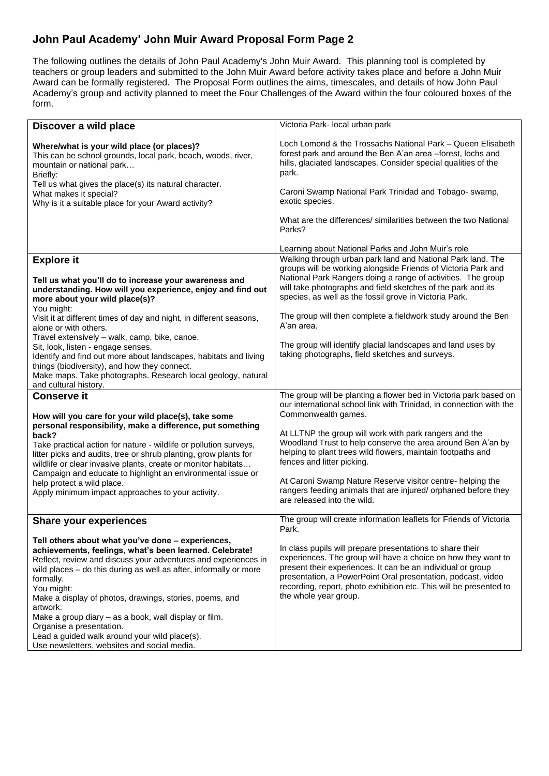## **John Paul Academy' John Muir Award Proposal Form Page 2**

The following outlines the details of John Paul Academy's John Muir Award. This planning tool is completed by teachers or group leaders and submitted to the John Muir Award before activity takes place and before a John Muir Award can be formally registered. The Proposal Form outlines the aims, timescales, and details of how John Paul Academy's group and activity planned to meet the Four Challenges of the Award within the four coloured boxes of the form.

| Discover a wild place                                                                                                                                                                                                                                                                                                                                                                                          | Victoria Park- local urban park                                                                                                                                                                                                                                                                                                                          |
|----------------------------------------------------------------------------------------------------------------------------------------------------------------------------------------------------------------------------------------------------------------------------------------------------------------------------------------------------------------------------------------------------------------|----------------------------------------------------------------------------------------------------------------------------------------------------------------------------------------------------------------------------------------------------------------------------------------------------------------------------------------------------------|
| Where/what is your wild place (or places)?<br>This can be school grounds, local park, beach, woods, river,<br>mountain or national park<br>Briefly:<br>Tell us what gives the place(s) its natural character.<br>What makes it special?<br>Why is it a suitable place for your Award activity?                                                                                                                 | Loch Lomond & the Trossachs National Park - Queen Elisabeth<br>forest park and around the Ben A'an area -forest, lochs and<br>hills, glaciated landscapes. Consider special qualities of the<br>park.<br>Caroni Swamp National Park Trinidad and Tobago- swamp,<br>exotic species.                                                                       |
|                                                                                                                                                                                                                                                                                                                                                                                                                | What are the differences/ similarities between the two National<br>Parks?                                                                                                                                                                                                                                                                                |
|                                                                                                                                                                                                                                                                                                                                                                                                                | Learning about National Parks and John Muir's role                                                                                                                                                                                                                                                                                                       |
| <b>Explore it</b><br>Tell us what you'll do to increase your awareness and<br>understanding. How will you experience, enjoy and find out<br>more about your wild place(s)?<br>You might:                                                                                                                                                                                                                       | Walking through urban park land and National Park land. The<br>groups will be working alongside Friends of Victoria Park and<br>National Park Rangers doing a range of activities. The group<br>will take photographs and field sketches of the park and its<br>species, as well as the fossil grove in Victoria Park.                                   |
| Visit it at different times of day and night, in different seasons,<br>alone or with others.<br>Travel extensively - walk, camp, bike, canoe.                                                                                                                                                                                                                                                                  | The group will then complete a fieldwork study around the Ben<br>A'an area.                                                                                                                                                                                                                                                                              |
| Sit, look, listen - engage senses.<br>Identify and find out more about landscapes, habitats and living<br>things (biodiversity), and how they connect.<br>Make maps. Take photographs. Research local geology, natural<br>and cultural history.                                                                                                                                                                | The group will identify glacial landscapes and land uses by<br>taking photographs, field sketches and surveys.                                                                                                                                                                                                                                           |
| <b>Conserve it</b><br>How will you care for your wild place(s), take some                                                                                                                                                                                                                                                                                                                                      | The group will be planting a flower bed in Victoria park based on<br>our international school link with Trinidad, in connection with the<br>Commonwealth games.                                                                                                                                                                                          |
| personal responsibility, make a difference, put something<br>back?<br>Take practical action for nature - wildlife or pollution surveys,<br>litter picks and audits, tree or shrub planting, grow plants for<br>wildlife or clear invasive plants, create or monitor habitats<br>Campaign and educate to highlight an environmental issue or                                                                    | At LLTNP the group will work with park rangers and the<br>Woodland Trust to help conserve the area around Ben A'an by<br>helping to plant trees wild flowers, maintain footpaths and<br>fences and litter picking.                                                                                                                                       |
| help protect a wild place.<br>Apply minimum impact approaches to your activity.                                                                                                                                                                                                                                                                                                                                | At Caroni Swamp Nature Reserve visitor centre- helping the<br>rangers feeding animals that are injured/orphaned before they<br>are released into the wild.                                                                                                                                                                                               |
| <b>Share your experiences</b>                                                                                                                                                                                                                                                                                                                                                                                  | The group will create information leaflets for Friends of Victoria<br>Park.                                                                                                                                                                                                                                                                              |
| Tell others about what you've done - experiences,<br>achievements, feelings, what's been learned. Celebrate!<br>Reflect, review and discuss your adventures and experiences in<br>wild places - do this during as well as after, informally or more<br>formally.<br>You might:<br>Make a display of photos, drawings, stories, poems, and<br>artwork.<br>Make a group diary - as a book, wall display or film. | In class pupils will prepare presentations to share their<br>experiences. The group will have a choice on how they want to<br>present their experiences. It can be an individual or group<br>presentation, a PowerPoint Oral presentation, podcast, video<br>recording, report, photo exhibition etc. This will be presented to<br>the whole year group. |
| Organise a presentation.<br>Lead a guided walk around your wild place(s).<br>Use newsletters, websites and social media.                                                                                                                                                                                                                                                                                       |                                                                                                                                                                                                                                                                                                                                                          |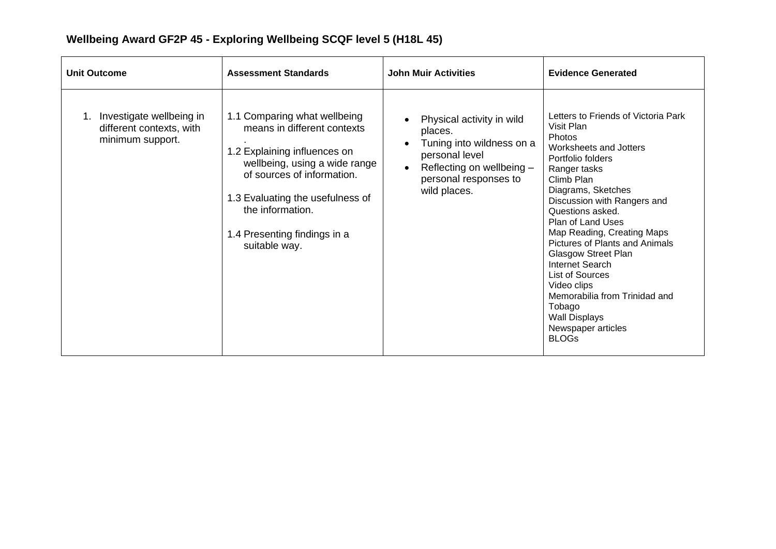| <b>Unit Outcome</b>                                                      | <b>Assessment Standards</b>                                                                                                                                                                                                                                         | <b>John Muir Activities</b>                                                                                                                               | <b>Evidence Generated</b>                                                                                                                                                                                                                                                                                                                                                                                                                                                                                 |
|--------------------------------------------------------------------------|---------------------------------------------------------------------------------------------------------------------------------------------------------------------------------------------------------------------------------------------------------------------|-----------------------------------------------------------------------------------------------------------------------------------------------------------|-----------------------------------------------------------------------------------------------------------------------------------------------------------------------------------------------------------------------------------------------------------------------------------------------------------------------------------------------------------------------------------------------------------------------------------------------------------------------------------------------------------|
| Investigate wellbeing in<br>different contexts, with<br>minimum support. | 1.1 Comparing what wellbeing<br>means in different contexts<br>1.2 Explaining influences on<br>wellbeing, using a wide range<br>of sources of information.<br>1.3 Evaluating the usefulness of<br>the information.<br>1.4 Presenting findings in a<br>suitable way. | Physical activity in wild<br>places.<br>Tuning into wildness on a<br>personal level<br>Reflecting on wellbeing -<br>personal responses to<br>wild places. | Letters to Friends of Victoria Park<br>Visit Plan<br>Photos<br>Worksheets and Jotters<br>Portfolio folders<br>Ranger tasks<br>Climb Plan<br>Diagrams, Sketches<br>Discussion with Rangers and<br>Questions asked.<br><b>Plan of Land Uses</b><br>Map Reading, Creating Maps<br><b>Pictures of Plants and Animals</b><br>Glasgow Street Plan<br>Internet Search<br>List of Sources<br>Video clips<br>Memorabilia from Trinidad and<br>Tobago<br><b>Wall Displays</b><br>Newspaper articles<br><b>BLOGs</b> |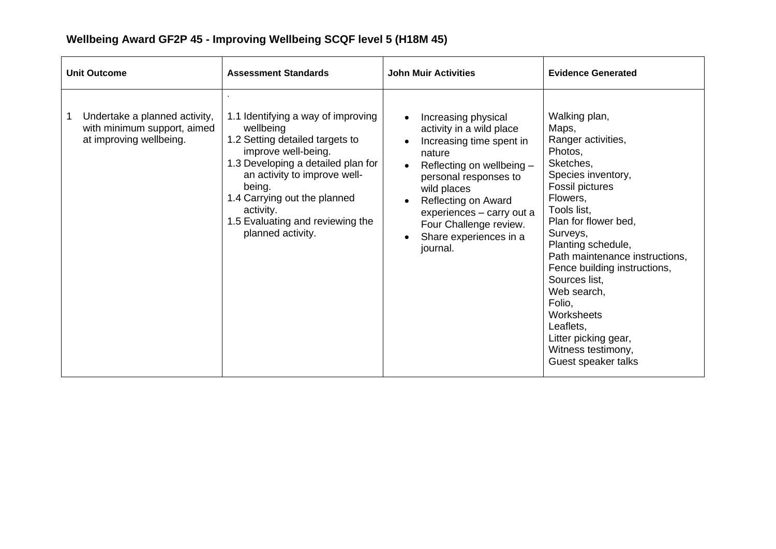| <b>Unit Outcome</b>                                                                     | <b>Assessment Standards</b>                                                                                                                                                                                                                                                                     | <b>John Muir Activities</b>                                                                                                                                                                                                                                                    | <b>Evidence Generated</b>                                                                                                                                                                                                                                                                                                                                                                                      |
|-----------------------------------------------------------------------------------------|-------------------------------------------------------------------------------------------------------------------------------------------------------------------------------------------------------------------------------------------------------------------------------------------------|--------------------------------------------------------------------------------------------------------------------------------------------------------------------------------------------------------------------------------------------------------------------------------|----------------------------------------------------------------------------------------------------------------------------------------------------------------------------------------------------------------------------------------------------------------------------------------------------------------------------------------------------------------------------------------------------------------|
| Undertake a planned activity,<br>with minimum support, aimed<br>at improving wellbeing. | 1.1 Identifying a way of improving<br>wellbeing<br>1.2 Setting detailed targets to<br>improve well-being.<br>1.3 Developing a detailed plan for<br>an activity to improve well-<br>being.<br>1.4 Carrying out the planned<br>activity.<br>1.5 Evaluating and reviewing the<br>planned activity. | Increasing physical<br>activity in a wild place<br>Increasing time spent in<br>nature<br>Reflecting on wellbeing -<br>personal responses to<br>wild places<br>Reflecting on Award<br>experiences - carry out a<br>Four Challenge review.<br>Share experiences in a<br>journal. | Walking plan,<br>Maps,<br>Ranger activities,<br>Photos,<br>Sketches,<br>Species inventory,<br>Fossil pictures<br>Flowers,<br>Tools list,<br>Plan for flower bed,<br>Surveys,<br>Planting schedule,<br>Path maintenance instructions,<br>Fence building instructions,<br>Sources list,<br>Web search,<br>Folio,<br>Worksheets<br>Leaflets,<br>Litter picking gear,<br>Witness testimony,<br>Guest speaker talks |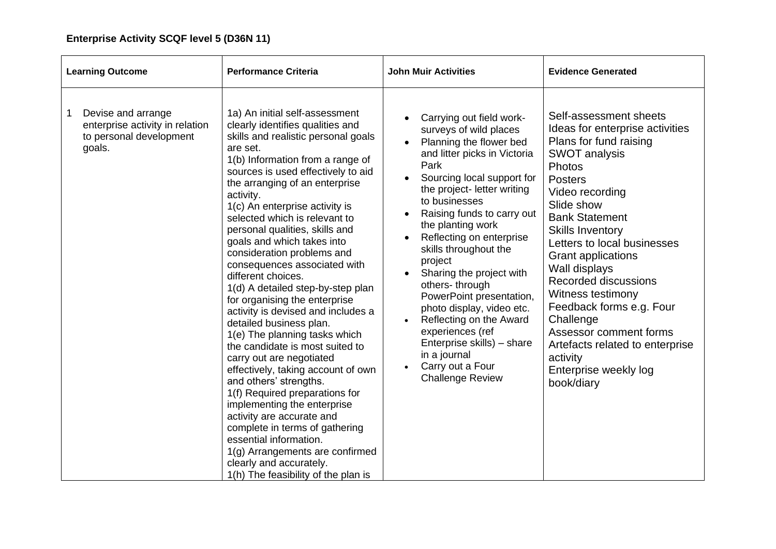| <b>Learning Outcome</b>                                                                                    | <b>Performance Criteria</b>                                                                                                                                                                                                                                                                                                                                                                                                                                                                                                                                                                                                                                                                                                                                                                                                                                                                                                                                                                                                                 | <b>John Muir Activities</b>                                                                                                                                                                                                                                                                                                                                                                                                                                                                                                                                               | <b>Evidence Generated</b>                                                                                                                                                                                                                                                                                                                                                                                                                                                                                       |
|------------------------------------------------------------------------------------------------------------|---------------------------------------------------------------------------------------------------------------------------------------------------------------------------------------------------------------------------------------------------------------------------------------------------------------------------------------------------------------------------------------------------------------------------------------------------------------------------------------------------------------------------------------------------------------------------------------------------------------------------------------------------------------------------------------------------------------------------------------------------------------------------------------------------------------------------------------------------------------------------------------------------------------------------------------------------------------------------------------------------------------------------------------------|---------------------------------------------------------------------------------------------------------------------------------------------------------------------------------------------------------------------------------------------------------------------------------------------------------------------------------------------------------------------------------------------------------------------------------------------------------------------------------------------------------------------------------------------------------------------------|-----------------------------------------------------------------------------------------------------------------------------------------------------------------------------------------------------------------------------------------------------------------------------------------------------------------------------------------------------------------------------------------------------------------------------------------------------------------------------------------------------------------|
| Devise and arrange<br>$\mathbf{1}$<br>enterprise activity in relation<br>to personal development<br>goals. | 1a) An initial self-assessment<br>clearly identifies qualities and<br>skills and realistic personal goals<br>are set.<br>1(b) Information from a range of<br>sources is used effectively to aid<br>the arranging of an enterprise<br>activity.<br>1(c) An enterprise activity is<br>selected which is relevant to<br>personal qualities, skills and<br>goals and which takes into<br>consideration problems and<br>consequences associated with<br>different choices.<br>1(d) A detailed step-by-step plan<br>for organising the enterprise<br>activity is devised and includes a<br>detailed business plan.<br>1(e) The planning tasks which<br>the candidate is most suited to<br>carry out are negotiated<br>effectively, taking account of own<br>and others' strengths.<br>1(f) Required preparations for<br>implementing the enterprise<br>activity are accurate and<br>complete in terms of gathering<br>essential information.<br>1(g) Arrangements are confirmed<br>clearly and accurately.<br>1(h) The feasibility of the plan is | Carrying out field work-<br>surveys of wild places<br>Planning the flower bed<br>and litter picks in Victoria<br>Park<br>Sourcing local support for<br>the project- letter writing<br>to businesses<br>Raising funds to carry out<br>the planting work<br>Reflecting on enterprise<br>skills throughout the<br>project<br>Sharing the project with<br>others-through<br>PowerPoint presentation,<br>photo display, video etc.<br>Reflecting on the Award<br>experiences (ref<br>Enterprise skills) - share<br>in a journal<br>Carry out a Four<br><b>Challenge Review</b> | Self-assessment sheets<br>Ideas for enterprise activities<br>Plans for fund raising<br><b>SWOT analysis</b><br>Photos<br><b>Posters</b><br>Video recording<br>Slide show<br><b>Bank Statement</b><br><b>Skills Inventory</b><br>Letters to local businesses<br>Grant applications<br>Wall displays<br><b>Recorded discussions</b><br>Witness testimony<br>Feedback forms e.g. Four<br>Challenge<br>Assessor comment forms<br>Artefacts related to enterprise<br>activity<br>Enterprise weekly log<br>book/diary |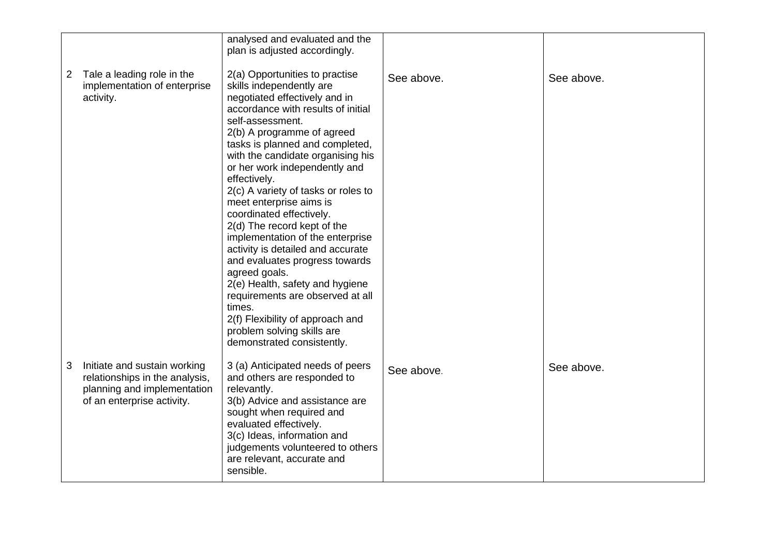|              |                                                                                                                             | analysed and evaluated and the<br>plan is adjusted accordingly.                                                                                                                                                                                                                                                                                                                                                                                                                                                                                                                                                                                                                                                                                        |            |            |
|--------------|-----------------------------------------------------------------------------------------------------------------------------|--------------------------------------------------------------------------------------------------------------------------------------------------------------------------------------------------------------------------------------------------------------------------------------------------------------------------------------------------------------------------------------------------------------------------------------------------------------------------------------------------------------------------------------------------------------------------------------------------------------------------------------------------------------------------------------------------------------------------------------------------------|------------|------------|
| $\mathbf{Z}$ | Tale a leading role in the<br>implementation of enterprise<br>activity.                                                     | 2(a) Opportunities to practise<br>skills independently are<br>negotiated effectively and in<br>accordance with results of initial<br>self-assessment.<br>2(b) A programme of agreed<br>tasks is planned and completed,<br>with the candidate organising his<br>or her work independently and<br>effectively.<br>2(c) A variety of tasks or roles to<br>meet enterprise aims is<br>coordinated effectively.<br>2(d) The record kept of the<br>implementation of the enterprise<br>activity is detailed and accurate<br>and evaluates progress towards<br>agreed goals.<br>2(e) Health, safety and hygiene<br>requirements are observed at all<br>times.<br>2(f) Flexibility of approach and<br>problem solving skills are<br>demonstrated consistently. | See above. | See above. |
| 3            | Initiate and sustain working<br>relationships in the analysis,<br>planning and implementation<br>of an enterprise activity. | 3 (a) Anticipated needs of peers<br>and others are responded to<br>relevantly.<br>3(b) Advice and assistance are<br>sought when required and<br>evaluated effectively.<br>3(c) Ideas, information and<br>judgements volunteered to others<br>are relevant, accurate and<br>sensible.                                                                                                                                                                                                                                                                                                                                                                                                                                                                   | See above. | See above. |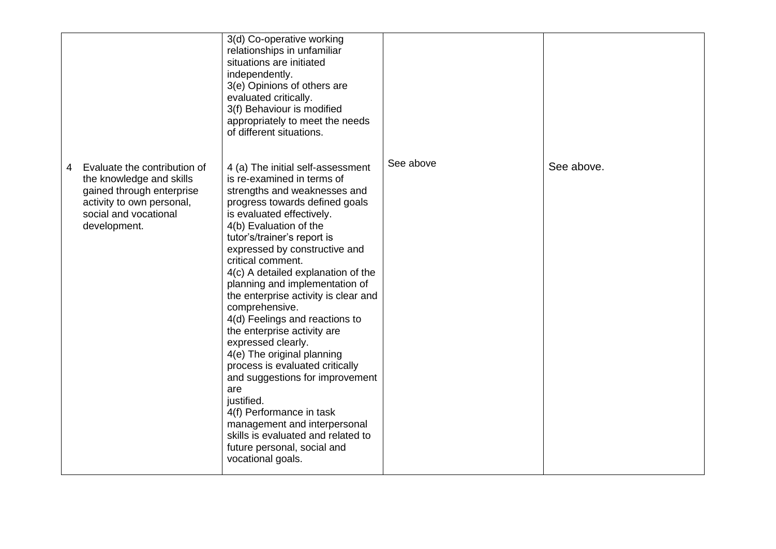|   |                                                                                                                                                             | 3(d) Co-operative working<br>relationships in unfamiliar<br>situations are initiated<br>independently.<br>3(e) Opinions of others are<br>evaluated critically.<br>3(f) Behaviour is modified<br>appropriately to meet the needs<br>of different situations.                                                                                                                                                                                                                                                                                                                                                                                                                                                                                                                           |           |            |
|---|-------------------------------------------------------------------------------------------------------------------------------------------------------------|---------------------------------------------------------------------------------------------------------------------------------------------------------------------------------------------------------------------------------------------------------------------------------------------------------------------------------------------------------------------------------------------------------------------------------------------------------------------------------------------------------------------------------------------------------------------------------------------------------------------------------------------------------------------------------------------------------------------------------------------------------------------------------------|-----------|------------|
| 4 | Evaluate the contribution of<br>the knowledge and skills<br>gained through enterprise<br>activity to own personal,<br>social and vocational<br>development. | 4 (a) The initial self-assessment<br>is re-examined in terms of<br>strengths and weaknesses and<br>progress towards defined goals<br>is evaluated effectively.<br>4(b) Evaluation of the<br>tutor's/trainer's report is<br>expressed by constructive and<br>critical comment.<br>4(c) A detailed explanation of the<br>planning and implementation of<br>the enterprise activity is clear and<br>comprehensive.<br>4(d) Feelings and reactions to<br>the enterprise activity are<br>expressed clearly.<br>4(e) The original planning<br>process is evaluated critically<br>and suggestions for improvement<br>are<br>justified.<br>4(f) Performance in task<br>management and interpersonal<br>skills is evaluated and related to<br>future personal, social and<br>vocational goals. | See above | See above. |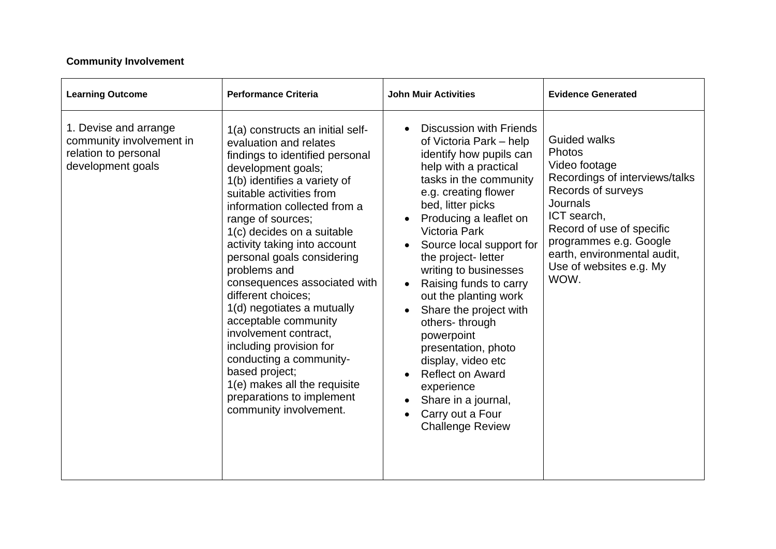### **Community Involvement**

| <b>Learning Outcome</b>                                                                        | <b>Performance Criteria</b>                                                                                                                                                                                                                                                                                                                                                                                                                                                                                                                                                                                                                          | <b>John Muir Activities</b>                                                                                                                                                                                                                                                                                                                                                                                                                                                                                                                                                                 | <b>Evidence Generated</b>                                                                                                                                                                                                                                                |
|------------------------------------------------------------------------------------------------|------------------------------------------------------------------------------------------------------------------------------------------------------------------------------------------------------------------------------------------------------------------------------------------------------------------------------------------------------------------------------------------------------------------------------------------------------------------------------------------------------------------------------------------------------------------------------------------------------------------------------------------------------|---------------------------------------------------------------------------------------------------------------------------------------------------------------------------------------------------------------------------------------------------------------------------------------------------------------------------------------------------------------------------------------------------------------------------------------------------------------------------------------------------------------------------------------------------------------------------------------------|--------------------------------------------------------------------------------------------------------------------------------------------------------------------------------------------------------------------------------------------------------------------------|
| 1. Devise and arrange<br>community involvement in<br>relation to personal<br>development goals | 1(a) constructs an initial self-<br>evaluation and relates<br>findings to identified personal<br>development goals;<br>1(b) identifies a variety of<br>suitable activities from<br>information collected from a<br>range of sources;<br>1(c) decides on a suitable<br>activity taking into account<br>personal goals considering<br>problems and<br>consequences associated with<br>different choices:<br>1(d) negotiates a mutually<br>acceptable community<br>involvement contract.<br>including provision for<br>conducting a community-<br>based project;<br>1(e) makes all the requisite<br>preparations to implement<br>community involvement. | <b>Discussion with Friends</b><br>of Victoria Park – help<br>identify how pupils can<br>help with a practical<br>tasks in the community<br>e.g. creating flower<br>bed, litter picks<br>Producing a leaflet on<br><b>Victoria Park</b><br>Source local support for<br>the project- letter<br>writing to businesses<br>Raising funds to carry<br>out the planting work<br>Share the project with<br>others-through<br>powerpoint<br>presentation, photo<br>display, video etc<br><b>Reflect on Award</b><br>experience<br>Share in a journal,<br>Carry out a Four<br><b>Challenge Review</b> | <b>Guided walks</b><br><b>Photos</b><br>Video footage<br>Recordings of interviews/talks<br>Records of surveys<br><b>Journals</b><br>ICT search,<br>Record of use of specific<br>programmes e.g. Google<br>earth, environmental audit,<br>Use of websites e.g. My<br>WOW. |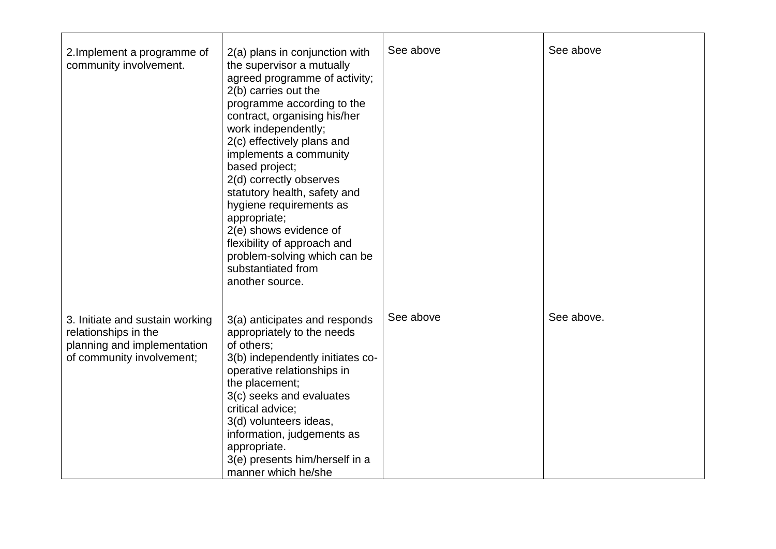| 2. Implement a programme of<br>community involvement.                                                               | 2(a) plans in conjunction with<br>the supervisor a mutually<br>agreed programme of activity;<br>2(b) carries out the<br>programme according to the<br>contract, organising his/her<br>work independently;<br>2(c) effectively plans and<br>implements a community<br>based project;<br>2(d) correctly observes<br>statutory health, safety and<br>hygiene requirements as<br>appropriate;<br>2(e) shows evidence of<br>flexibility of approach and<br>problem-solving which can be<br>substantiated from<br>another source. | See above | See above  |
|---------------------------------------------------------------------------------------------------------------------|-----------------------------------------------------------------------------------------------------------------------------------------------------------------------------------------------------------------------------------------------------------------------------------------------------------------------------------------------------------------------------------------------------------------------------------------------------------------------------------------------------------------------------|-----------|------------|
| 3. Initiate and sustain working<br>relationships in the<br>planning and implementation<br>of community involvement; | 3(a) anticipates and responds<br>appropriately to the needs<br>of others;<br>3(b) independently initiates co-<br>operative relationships in<br>the placement;<br>3(c) seeks and evaluates<br>critical advice;<br>3(d) volunteers ideas,<br>information, judgements as<br>appropriate.<br>3(e) presents him/herself in a<br>manner which he/she                                                                                                                                                                              | See above | See above. |